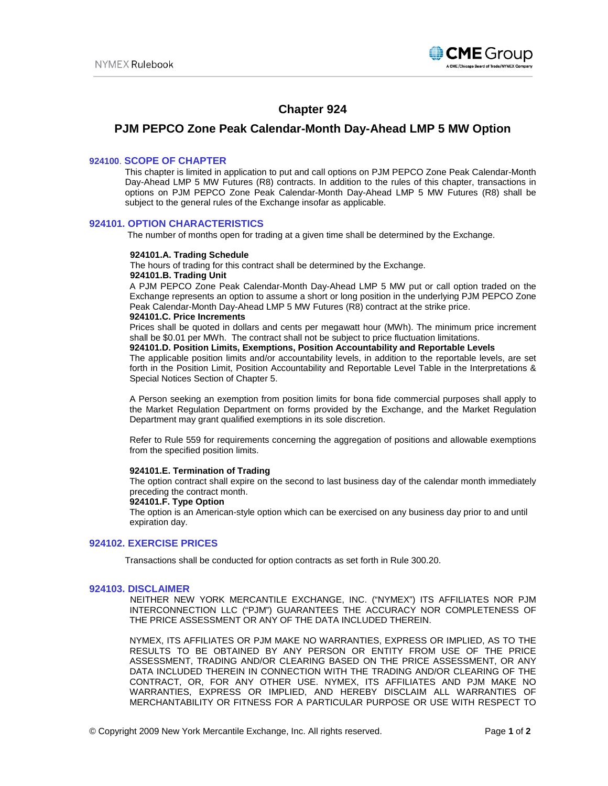

# **Chapter 924**

## **PJM PEPCO Zone Peak Calendar-Month Day-Ahead LMP 5 MW Option**

## **924100**. **SCOPE OF CHAPTER**

This chapter is limited in application to put and call options on PJM PEPCO Zone Peak Calendar-Month Day-Ahead LMP 5 MW Futures (R8) contracts. In addition to the rules of this chapter, transactions in options on PJM PEPCO Zone Peak Calendar-Month Day-Ahead LMP 5 MW Futures (R8) shall be subject to the general rules of the Exchange insofar as applicable.

## **924101. OPTION CHARACTERISTICS**

The number of months open for trading at a given time shall be determined by the Exchange.

#### **924101.A. Trading Schedule**

 The hours of trading for this contract shall be determined by the Exchange.  **924101.B. Trading Unit**

A PJM PEPCO Zone Peak Calendar-Month Day-Ahead LMP 5 MW put or call option traded on the Exchange represents an option to assume a short or long position in the underlying PJM PEPCO Zone Peak Calendar-Month Day-Ahead LMP 5 MW Futures (R8) contract at the strike price.

#### **924101.C. Price Increments**

Prices shall be quoted in dollars and cents per megawatt hour (MWh). The minimum price increment shall be \$0.01 per MWh. The contract shall not be subject to price fluctuation limitations.

#### **924101.D. Position Limits, Exemptions, Position Accountability and Reportable Levels**

The applicable position limits and/or accountability levels, in addition to the reportable levels, are set forth in the Position Limit, Position Accountability and Reportable Level Table in the Interpretations & Special Notices Section of Chapter 5.

A Person seeking an exemption from position limits for bona fide commercial purposes shall apply to the Market Regulation Department on forms provided by the Exchange, and the Market Regulation Department may grant qualified exemptions in its sole discretion.

Refer to Rule 559 for requirements concerning the aggregation of positions and allowable exemptions from the specified position limits.

#### **924101.E. Termination of Trading**

The option contract shall expire on the second to last business day of the calendar month immediately preceding the contract month.

## **924101.F. Type Option**

The option is an American-style option which can be exercised on any business day prior to and until expiration day.

## **924102. EXERCISE PRICES**

Transactions shall be conducted for option contracts as set forth in Rule 300.20.

#### **924103. DISCLAIMER**

 NEITHER NEW YORK MERCANTILE EXCHANGE, INC. ("NYMEX") ITS AFFILIATES NOR PJM INTERCONNECTION LLC ("PJM") GUARANTEES THE ACCURACY NOR COMPLETENESS OF THE PRICE ASSESSMENT OR ANY OF THE DATA INCLUDED THEREIN.

NYMEX, ITS AFFILIATES OR PJM MAKE NO WARRANTIES, EXPRESS OR IMPLIED, AS TO THE RESULTS TO BE OBTAINED BY ANY PERSON OR ENTITY FROM USE OF THE PRICE ASSESSMENT, TRADING AND/OR CLEARING BASED ON THE PRICE ASSESSMENT, OR ANY DATA INCLUDED THEREIN IN CONNECTION WITH THE TRADING AND/OR CLEARING OF THE CONTRACT, OR, FOR ANY OTHER USE. NYMEX, ITS AFFILIATES AND PJM MAKE NO WARRANTIES, EXPRESS OR IMPLIED, AND HEREBY DISCLAIM ALL WARRANTIES OF MERCHANTABILITY OR FITNESS FOR A PARTICULAR PURPOSE OR USE WITH RESPECT TO